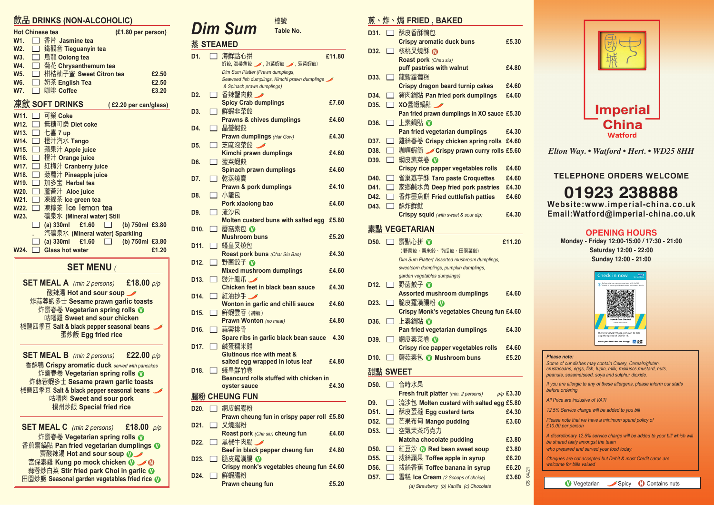#### **SET MENU** (

| <b>SET MEAL A</b> (min 2 persons) <b>£18.00</b> $p/p$ |  |
|-------------------------------------------------------|--|
| 酸辣湯 Hot and sour soup ✔                               |  |
| 炸蒜蓉蝦多士 Sesame prawn garlic toasts                     |  |
| 炸齋春卷 Vegetarian spring rolls ❶                        |  |
| 咕嚕雞 Sweet and sour chicken                            |  |
| 椒鹽四季豆 Salt & black pepper seasonal beans              |  |
| 蛋炒飯 Egg fried rice                                    |  |
|                                                       |  |
| <b>SET MEAL B</b> (min 2 persons) <b>£22.00</b> p/p   |  |
| 香酥鴨 Crispy aromatic duck served with pancakes         |  |
| 炸齋春卷 Vegetarian spring rolls ❶                        |  |
| 炸蒜蓉蝦多士 Sesame prawn garlic toasts                     |  |
| 椒鹽四季豆 Salt & black pepper seasonal beans              |  |
| 咕嚕肉 Sweet and sour pork                               |  |
| 楊州炒飯 Special fried rice                               |  |
|                                                       |  |
| <b>SET MEAL C</b> (min 2 persons) <b>£18.00</b> $p/p$ |  |
| 炸齋春卷 Vegetarian spring rolls ❶                        |  |
| 香煎齋鍋貼 Pan fried vegetarian dumplings ①                |  |
| 齋酸辣湯 Hot and sour soup $\mathbf{0}$                   |  |
|                                                       |  |

**宮保素雞 Kung po mock chicken 1 / 1 蒜蓉炒白菜 Stir fried park Choi in garlic 1 田園炒飯 Seasonal garden vegetables fried rice ①** 

CS 04/21

## 飲品 **DRINKS (NON-ALCOHOLIC)**

|                        | <u>.</u>                       |                       |  |
|------------------------|--------------------------------|-----------------------|--|
| <b>Hot Chinese tea</b> |                                | (£1.80 per person)    |  |
| W1.                    | 香片 Jasmine tea                 |                       |  |
| W <sub>2</sub> .       | 鐵觀音 Tieguanyin tea             |                       |  |
| <b>W3.</b>             | 烏龍 Oolong tea                  |                       |  |
| W4.                    | 菊花 Chrysanthemum tea           |                       |  |
| <b>W5.</b>             | 柑桔柚子蜜 Sweet Citron tea         | £2.50                 |  |
| <b>W6.</b>             | 奶茶 English Tea                 | £2.50                 |  |
| W7.                    | 咖啡 Coffee                      | £3.20                 |  |
|                        |                                |                       |  |
|                        | 凍飲 SOFT DRINKS                 | (£2.20 per can/glass) |  |
| W11.                   | 可樂 Coke                        |                       |  |
| W12.                   | 無糖可樂 Diet coke                 |                       |  |
| W13.                   | 七喜 $7$ up                      |                       |  |
| W14.                   | 橙汁汽水 Tango                     |                       |  |
| W15.                   | 蘋果汁 Apple juice                |                       |  |
| W16.                   | 橙汁 Orange juice                |                       |  |
| W17.                   | 紅梅汁 Cranberry juice            |                       |  |
| W18.                   | 菠蘿汁 Pineapple juice            |                       |  |
| W <sub>19.</sub>       | 加多宝 Herbal tea                 |                       |  |
| W20.                   | 蘆薈汁 Aloe juice                 |                       |  |
| W21.                   | 凍綠茶 Ice green tea              |                       |  |
| W22.                   | 凍檸茶 Ice lemon tea              |                       |  |
| W23.                   | 礦泉水 (Mineral water) Still      |                       |  |
|                        | £1.60<br>$(a)$ 330 $ml$        | (b) 750ml £3.80       |  |
|                        | 汽礦泉水 (Mineral water) Sparkling |                       |  |
|                        | $(a)$ 330 $ml$<br>£1.60        | (b) 750ml £3.80       |  |
| W24.                   | <b>Glass hot water</b>         | £1.20                 |  |
|                        |                                |                       |  |

#### **Please note:**

Some of our dishes may contain Celery, Cereals/gluten, crustaceans, eggs, fish, lupin, milk, molluscs,mustard, nuts, peanuts, sesame/seed, soya and sulphur dioxide.

If you are allergic to any of these allergens, please inform our staffs before ordering

All Price are inclusive of VATl

12.5% Service charge will be added to you bill

Please note that we have a minimum spend policy of £10.00 per person

A discretionary 12.5% service charge will be added to your bill which will be shared fairly amongst the team

who prepared and served your food today.

Cheques are not accepted but Debit & most Credit cards are welcome for bills valued

Vegetarian Spicy **N** Contains nuts

檯號 **Table No.**

蒸 **STEAMED**

| D <sub>1</sub>    |                   | 海鮮點心拼                                                                     | £11.80 |
|-------------------|-------------------|---------------------------------------------------------------------------|--------|
|                   |                   | 蝦餃, 海帶魚餃 / , 泡菜蝦餃 / , 菠菜蝦餃)                                               |        |
|                   |                   | Dim Sum Platter (Prawn dumplings,                                         |        |
|                   |                   | Seaweed fish dumplings, Kimchi prawn dumplings                            |        |
|                   |                   | & Spinach prawn dumplings)                                                |        |
| D <sub>2</sub> .  |                   | 香辣蟹肉餃<br>$\overline{\phantom{a}}$                                         |        |
|                   |                   | <b>Spicy Crab dumplings</b>                                               | £7.60  |
| D3.               |                   | 鮮蝦韭菜餃                                                                     |        |
|                   |                   | <b>Prawns &amp; chives dumplings</b><br>晶瑩蝦餃                              | £4.60  |
| D4.               |                   | <b>Prawn dumplings (Har Gow)</b>                                          | £4.30  |
| D <sub>5</sub> .  | $\vert \ \ \vert$ | 芝麻泡菜餃                                                                     |        |
|                   |                   | <b>Kimchi prawn dumplings</b>                                             | £4.60  |
| D6.               |                   | 菠菜蝦餃                                                                      |        |
|                   |                   | <b>Spinach prawn dumplings</b>                                            | £4.60  |
| D7.               |                   | 乾蒸燒賣                                                                      |        |
|                   |                   | <b>Prawn &amp; pork dumplings</b>                                         | £4.10  |
| D8.               | $\Box$            | 小籠包                                                                       |        |
|                   |                   | Pork xiaolong bao                                                         | £4.60  |
| D9.               |                   | 流沙包                                                                       |        |
|                   |                   | Molten custard buns with salted egg                                       | £5.80  |
| D <sub>10</sub> . | $\mathsf{I}$      | 蘑菇素包 ❶                                                                    |        |
|                   |                   | <b>Mushroom buns</b>                                                      | £5.20  |
| D11.              | $\Box$            | 蠔皇叉燒包                                                                     |        |
|                   |                   | Roast pork buns (Char Siu Bao)                                            | £4.30  |
| D <sub>12</sub> . |                   | 野菌餃子 ၈                                                                    |        |
|                   |                   | <b>Mixed mushroom dumplings</b>                                           | £4.60  |
| D <sub>13</sub> . | $\mathbf{I}$      | 豉汁鳳爪 ___                                                                  |        |
|                   |                   | Chicken feet in black bean sauce                                          | £4.30  |
| D <sub>14</sub> . |                   | 紅油抄手                                                                      |        |
|                   |                   | Wonton in garlic and chilli sauce                                         | £4.60  |
| D <sub>15</sub> . |                   | 鮮蝦雲吞 (純蝦)                                                                 |        |
|                   |                   | <b>Prawn Wonton</b> (no meat)                                             | £4.80  |
| D <sub>16</sub> . |                   | 蒜蓉排骨                                                                      |        |
|                   |                   | Spare ribs in garlic black bean sauce                                     | 4.30   |
| D17.              |                   | 鹹蛋糯米雞                                                                     |        |
|                   |                   | <b>Glutinous rice with meat &amp;</b><br>salted egg wrapped in lotus leaf | £4.80  |
| D <sub>18</sub> . |                   | 蠔皇鮮竹卷                                                                     |        |
|                   |                   | Beancurd rolls stuffed with chicken in                                    |        |
|                   |                   | oyster sauce                                                              | £4.30  |
|                   |                   | 腸粉 CHEUNG FUN                                                             |        |
|                   |                   |                                                                           |        |
| D <sub>20</sub> . |                   | 網皮蝦腸粉                                                                     |        |
|                   |                   | Prawn cheung fun in crispy paper roll £5.80                               |        |
| D <sub>21</sub> . |                   | 叉燒腸粉<br>Roast pork (Cha siu) cheung fun                                   | £4.60  |
| D <sub>22</sub> . | $\mathsf{L}$      | 黑椒牛肉腸                                                                     |        |
|                   |                   | Beef in black pepper cheung fun                                           | £4.80  |
| D <sub>23</sub> . |                   | 脆皮羅漢腸 1                                                                   |        |
|                   |                   | Crispy monk's vegetables cheung fun £4.60                                 |        |
| D <sub>24</sub> . |                   | 鮮蝦腸粉                                                                      |        |

**Prawn cheung fun £5.20** 

## 煎、炸、焗 **FRIED , BAKED**

| ,,,,              |        | <u>.</u><br>,,,,,,                                                 |             |
|-------------------|--------|--------------------------------------------------------------------|-------------|
| D31.              |        | 酥皮香酥鴨包                                                             |             |
|                   |        | <b>Crispy aromatic duck buns</b>                                   | £5.30       |
| D32.              |        | 核桃叉燒酥 ①                                                            |             |
|                   |        | Roast pork (Chau siu)                                              |             |
|                   |        | puff pastries with walnut                                          | £4.80       |
| D33.              |        | 龍鬚蘿蔔糕                                                              |             |
|                   |        | <b>Crispy dragon beard turnip cakes</b>                            | £4.60       |
| D <sub>34</sub>   |        | 豬肉鍋貼 Pan fried pork dumplings                                      | £4.60       |
| D <sub>35</sub> . |        | XO醬蝦鍋貼 /                                                           |             |
|                   |        | Pan fried prawn dumplings in XO sauce £5.30                        |             |
| D36.              |        | 上素鍋貼 10                                                            |             |
|                   |        | Pan fried vegetarian dumplings                                     | £4.30       |
| D37.              |        | 雞絲春卷 Crispy chicken spring rolls                                   | £4.60       |
| D38.              |        | 咖喱蝦筒 ✔ Crispy prawn curry rolls £5.60                              |             |
| D39.              |        | 網皮素菜卷 ❶                                                            |             |
|                   |        | <b>Crispy rice papper vegetables rolls</b>                         | £4.60       |
| D40.              |        | 雀巢荔芋酥 Taro paste Croquettes                                        | £4.60       |
| D41.              |        | 家鄉鹹水角 Deep fried pork pastries                                     | £4.30       |
| D42.              |        | 香炸墨魚餅 Fried cuttlefish patties                                     | £4.60       |
| D43.              |        | 酥炸鮮魷<br><b>Crispy squid</b> (with sweet & sour dip)                | £4.30       |
|                   |        |                                                                    |             |
| 素點                |        | <b>VEGETARIAN</b>                                                  |             |
| D50.              |        | 齋點心拼 ①                                                             | £11.20      |
|                   |        | (野菌餃、粟米餃、南瓜餃、田園菜餃)                                                 |             |
|                   |        | Dim Sum Platter( Assorted mushroom dumplings,                      |             |
|                   |        | sweetcorn dumplings, pumpkin dumplings,                            |             |
|                   |        | garden vegetables dumplings)                                       |             |
| D12.              |        | 野菌餃子 ❶                                                             |             |
|                   |        | <b>Assorted mushroom dumplings</b>                                 | £4.60       |
| D23.              |        | 脆皮羅漢腸粉 ❶                                                           |             |
|                   |        | Crispy Monk's vegetables Cheung fun £4.60                          |             |
| D36.              |        | 上素鍋貼 ❶                                                             |             |
|                   |        | Pan fried vegetarian dumplings                                     | £4.30       |
| D39.              |        | 網皮素菜卷 1                                                            | £4.60       |
| D <sub>10</sub> . |        | <b>Crispy rice papper vegetables rolls</b><br>蘑菇素包 1 Mushroom buns | £5.20       |
|                   |        |                                                                    |             |
| 甜點                |        | <b>SWEET</b>                                                       |             |
| D50.              |        | 合時水果                                                               |             |
|                   |        | Fresh fruit platter (min. 2 persons)                               | $p/p$ £3.30 |
| D9.               |        | 流沙包 Molten custard with salted egg £5.80                           |             |
| D51.              |        | 酥皮蛋撻 Egg custard tarts                                             | £4.30       |
| D <sub>52</sub> . |        | 芒果布甸 Mango pudding                                                 | £3.60       |
| D53.              |        | 空氣茉茶巧克力                                                            |             |
|                   |        | <b>Matcha chocolate pudding</b>                                    | £3.80       |
| D <sub>50</sub> . | $\sim$ | 紅豆沙 M Red bean sweet soup                                          | £3.80       |
| D55.              |        | 拔絲蘋果 Toffee apple in syrup                                         | £6.20       |
| D56.              |        |                                                                    |             |
|                   |        | 拔絲香蕉 Toffee banana in syrup                                        | £6.20       |

(a) Strawberry (b) Vanilla (c) Chocolate



# *Dim Sum*

*Elton Way. • Watford • Hert. • WD25 8HH*

#### **TELEPHONE ORDERS WELCOME**

## **01923 238888**

**Website:www.imperial-china.co.uk Email:Watford@imperial-china.co.uk**

#### **OPENING HOURS**

**Monday - Friday 12:00-15:00 / 17:30 - 21:00 Saturday 12:00 - 22:00 Sunday 12:00 - 21:00**